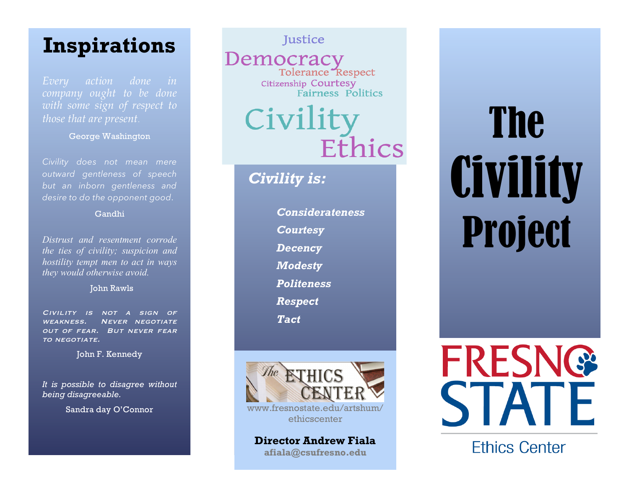## **Inspirations**

*Every action done in with some sign of respect to those that are present.*

George Washington

*Civility does not mean mere outward gentleness of speech but an inborn gentleness and desire to do the opponent good*.

#### Gandhi

*Distrust and resentment corrode the ties of civility; suspicion and hostility tempt men to act in ways they would otherwise avoid.*

#### John Rawls

Civility is not a sign of weakness. Never negotiate out of fear. But never fear TO NEGOTIATE.

John F. Kennedy

*It is possible to disagree without being disagreeable.*

Sandra day O'Connor

Justice

Democracy Tolerance Respect Citizenship Courtesy<br>Fairness Politics

## Civilit Ethics

### *Civility is:*

*Considerateness Courtesy Decency Modesty Politeness Respect Tact*



**Director Andrew Fiala afiala@csufresno.edu**

# The **Civility** Project



**Ethics Center**